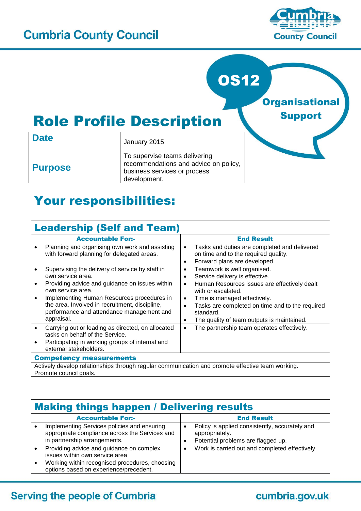

# OS12

**Organisational** Support

# Role Profile Description

| <b>Date</b>    | January 2015                                                                                                           |  |  |
|----------------|------------------------------------------------------------------------------------------------------------------------|--|--|
| <b>Purpose</b> | To supervise teams delivering<br>recommendations and advice on policy,<br>business services or process<br>development. |  |  |

# Your responsibilities:

| <b>Leadership (Self and Team)</b>                                                                                                                                                                                                                                                                                                |                                                                                                                                                                                                                                                                                                                            |  |  |
|----------------------------------------------------------------------------------------------------------------------------------------------------------------------------------------------------------------------------------------------------------------------------------------------------------------------------------|----------------------------------------------------------------------------------------------------------------------------------------------------------------------------------------------------------------------------------------------------------------------------------------------------------------------------|--|--|
| <b>Accountable For:-</b>                                                                                                                                                                                                                                                                                                         | <b>End Result</b>                                                                                                                                                                                                                                                                                                          |  |  |
| Planning and organising own work and assisting<br>with forward planning for delegated areas.                                                                                                                                                                                                                                     | Tasks and duties are completed and delivered<br>on time and to the required quality.<br>Forward plans are developed.<br>$\bullet$                                                                                                                                                                                          |  |  |
| Supervising the delivery of service by staff in<br>own service area.<br>Providing advice and guidance on issues within<br>$\bullet$<br>own service area.<br>Implementing Human Resources procedures in<br>$\bullet$<br>the area. Involved in recruitment, discipline,<br>performance and attendance management and<br>appraisal. | Teamwork is well organised.<br>٠<br>Service delivery is effective.<br>٠<br>Human Resources issues are effectively dealt<br>٠<br>with or escalated.<br>Time is managed effectively.<br>$\bullet$<br>Tasks are completed on time and to the required<br>standard.<br>The quality of team outputs is maintained.<br>$\bullet$ |  |  |
| Carrying out or leading as directed, on allocated<br>$\bullet$<br>tasks on behalf of the Service.<br>Participating in working groups of internal and<br>$\bullet$<br>external stakeholders.                                                                                                                                      | The partnership team operates effectively.<br>$\bullet$                                                                                                                                                                                                                                                                    |  |  |
| <b>Competency measurements</b>                                                                                                                                                                                                                                                                                                   |                                                                                                                                                                                                                                                                                                                            |  |  |
| Actively develop relationships through regular communication and promote effective team working.<br>Promote council goals.                                                                                                                                                                                                       |                                                                                                                                                                                                                                                                                                                            |  |  |

| <b>Making things happen / Delivering results</b>                                                                                                                       |   |                                                                                                        |  |
|------------------------------------------------------------------------------------------------------------------------------------------------------------------------|---|--------------------------------------------------------------------------------------------------------|--|
| <b>Accountable For:-</b>                                                                                                                                               |   | <b>End Result</b>                                                                                      |  |
| Implementing Services policies and ensuring<br>appropriate compliance across the Services and<br>in partnership arrangements.                                          |   | Policy is applied consistently, accurately and<br>appropriately.<br>Potential problems are flagged up. |  |
| Providing advice and guidance on complex<br>issues within own service area<br>Working within recognised procedures, choosing<br>options based on experience/precedent. | ٠ | Work is carried out and completed effectively                                                          |  |

### **Serving the people of Cumbria**

### cumbria.gov.uk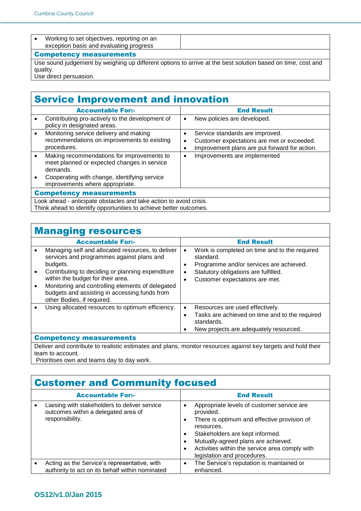| Working to set objectives, reporting on an<br>exception basis and evaluating progress |  |
|---------------------------------------------------------------------------------------|--|
| <b>Competency measurements</b>                                                        |  |

Use sound judgement by weighing up different options to arrive at the best solution based on time, cost and quality.

Use direct persuasion.

## Service Improvement and innovation

|                                                                                                                                         | <b>Accountable For:-</b>                                                                                                                                                                 |                     | <b>End Result</b>                                                                                                              |  |
|-----------------------------------------------------------------------------------------------------------------------------------------|------------------------------------------------------------------------------------------------------------------------------------------------------------------------------------------|---------------------|--------------------------------------------------------------------------------------------------------------------------------|--|
|                                                                                                                                         | Contributing pro-actively to the development of<br>policy in designated areas.                                                                                                           | $\bullet$           | New policies are developed.                                                                                                    |  |
|                                                                                                                                         | Monitoring service delivery and making<br>recommendations on improvements to existing<br>procedures.                                                                                     | $\bullet$<br>٠<br>٠ | Service standards are improved.<br>Customer expectations are met or exceeded.<br>Improvement plans are put forward for action. |  |
|                                                                                                                                         | Making recommendations for improvements to<br>meet planned or expected changes in service<br>demands.<br>Cooperating with change, identifying service<br>improvements where appropriate. | $\bullet$           | Improvements are implemented                                                                                                   |  |
| <b>Competency measurements</b>                                                                                                          |                                                                                                                                                                                          |                     |                                                                                                                                |  |
| Look ahead - anticipate obstacles and take action to avoid crisis.<br>Think ahead to identify opportunities to achieve better outcomes. |                                                                                                                                                                                          |                     |                                                                                                                                |  |

# **Managing resources**

| <b>Accountable For:-</b>                                                                                                                                                                                                                                                                                                               |                          | <b>End Result</b>                                                                                                                                                               |  |
|----------------------------------------------------------------------------------------------------------------------------------------------------------------------------------------------------------------------------------------------------------------------------------------------------------------------------------------|--------------------------|---------------------------------------------------------------------------------------------------------------------------------------------------------------------------------|--|
| Managing self and allocated resources, to deliver<br>services and programmes against plans and<br>budgets.<br>Contributing to deciding or planning expenditure<br>within the budget for their area.<br>Monitoring and controlling elements of delegated<br>budgets and assisting in accessing funds from<br>other Bodies, if required. | $\bullet$<br>٠<br>٠<br>٠ | Work is completed on time and to the required<br>standard.<br>Programme and/or services are achieved.<br>Statutory obligations are fulfilled.<br>Customer expectations are met. |  |
| Using allocated resources to optimum efficiency.<br><b>Competency measurements</b>                                                                                                                                                                                                                                                     | $\bullet$<br>٠<br>٠      | Resources are used effectively.<br>Tasks are achieved on time and to the required<br>standards.<br>New projects are adequately resourced.                                       |  |
|                                                                                                                                                                                                                                                                                                                                        |                          |                                                                                                                                                                                 |  |

Deliver and contribute to realistic estimates and plans, monitor resources against key targets and hold their team to account.

Prioritises own and teams day to day work.

#### Customer and Community focused

| <b>Accountable For:-</b>                                                                                |                                       | <b>End Result</b>                                                                                                                                                                                                                                                               |
|---------------------------------------------------------------------------------------------------------|---------------------------------------|---------------------------------------------------------------------------------------------------------------------------------------------------------------------------------------------------------------------------------------------------------------------------------|
| Liaising with stakeholders to deliver service<br>outcomes within a delegated area of<br>responsibility. | $\bullet$<br>٠<br>$\bullet$<br>٠<br>٠ | Appropriate levels of customer service are<br>provided.<br>There is optimum and effective provision of<br>resources.<br>Stakeholders are kept informed.<br>Mutually-agreed plans are achieved.<br>Activities within the service area comply with<br>legislation and procedures. |
| Acting as the Service's representative, with<br>authority to act on its behalf within nominated         | $\bullet$                             | The Service's reputation is maintained or<br>enhanced.                                                                                                                                                                                                                          |